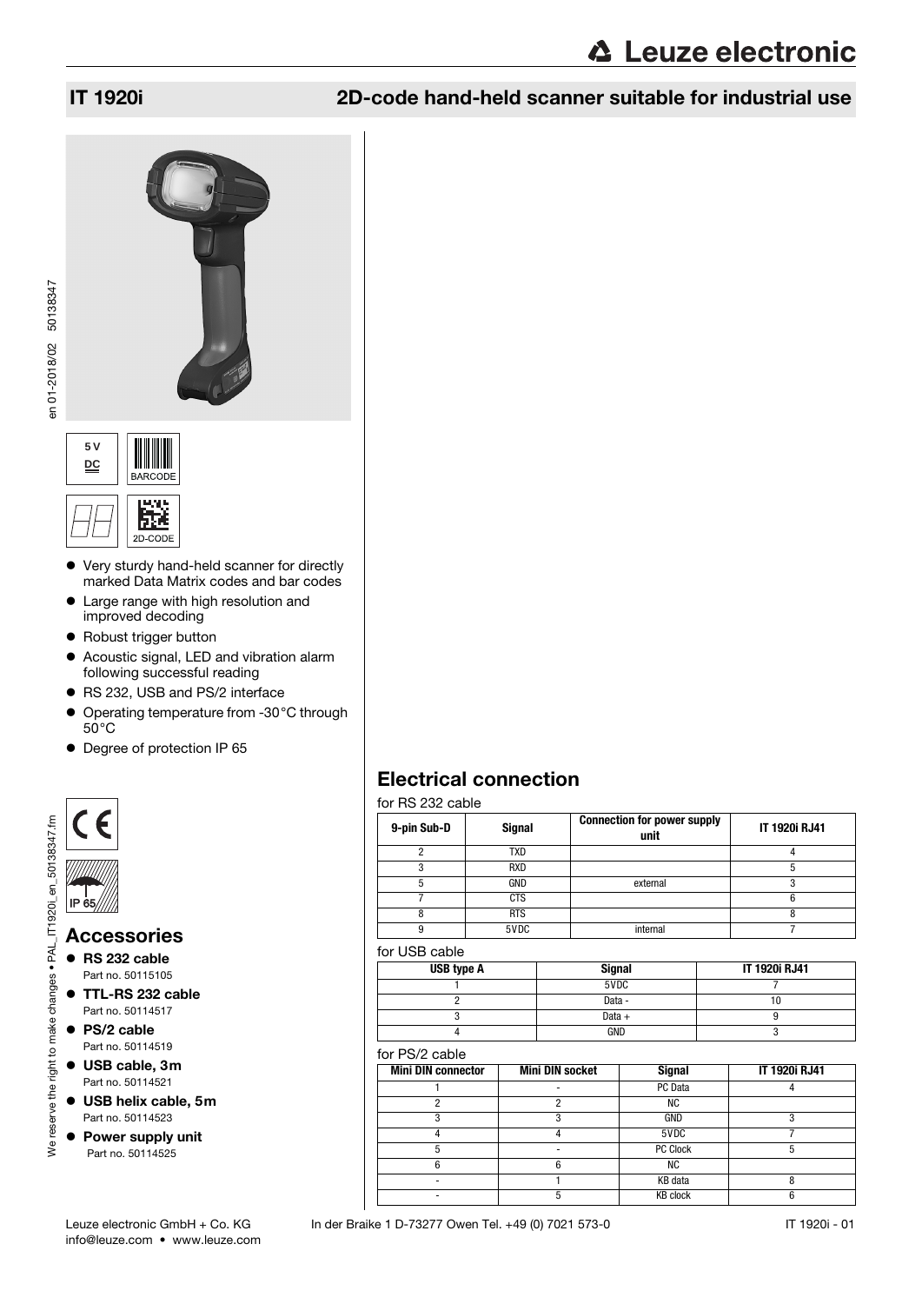**∆ Leuze electronic** 







- Very sturdy hand-held scanner for directly marked Data Matrix codes and bar codes
- Large range with high resolution and improved decoding
- Robust trigger button
- Acoustic signal, LED and vibration alarm following successful reading
- RS 232, USB and PS/2 interface
- Operating temperature from -30°C through  $50^{\circ}$ C
- Degree of protection IP 65



## Accessories

- RS 232 cable Part no. 50115105
- TTL-RS 232 cable Part no. 50114517
- PS/2 cable Part no. 50114519

We reserve the right to make changes . PAL

- USB cable, 3m Part no. 50114521
- USB helix cable, 5m Part no. 50114523
- Power supply unit Part no. 50114525

<span id="page-0-0"></span>

| 9-pin Sub-D | <b>Signal</b> | <b>Connection for power supply</b><br>unit | <b>IT 1920i RJ41</b> |
|-------------|---------------|--------------------------------------------|----------------------|
| ŋ           | TXD           |                                            |                      |
|             | <b>RXD</b>    |                                            |                      |
| 5           | GND           | external                                   |                      |
|             | <b>CTS</b>    |                                            | 6                    |
|             | <b>RTS</b>    |                                            |                      |
| g           | 5VDC          | internal                                   |                      |

## for USB cable

| USB type A | <b>Signal</b> | IT 1920i RJ41 |
|------------|---------------|---------------|
|            | 5VDC          |               |
|            | Data -        |               |
|            | Data $+$      |               |
|            | GND           |               |

## for PS/2 cable

| <b>Mini DIN connector</b> | <b>Mini DIN socket</b> | <b>Signal</b>   | <b>IT 1920i RJ41</b> |
|---------------------------|------------------------|-----------------|----------------------|
|                           |                        | PC Data         |                      |
|                           |                        | ΝC              |                      |
|                           |                        | GND             |                      |
|                           |                        | 5VDC            |                      |
|                           |                        | <b>PC Clock</b> |                      |
|                           |                        | ΝC              |                      |
|                           |                        | KB data         |                      |
|                           |                        | <b>KB clock</b> |                      |

info@leuze.com • www.leuze.com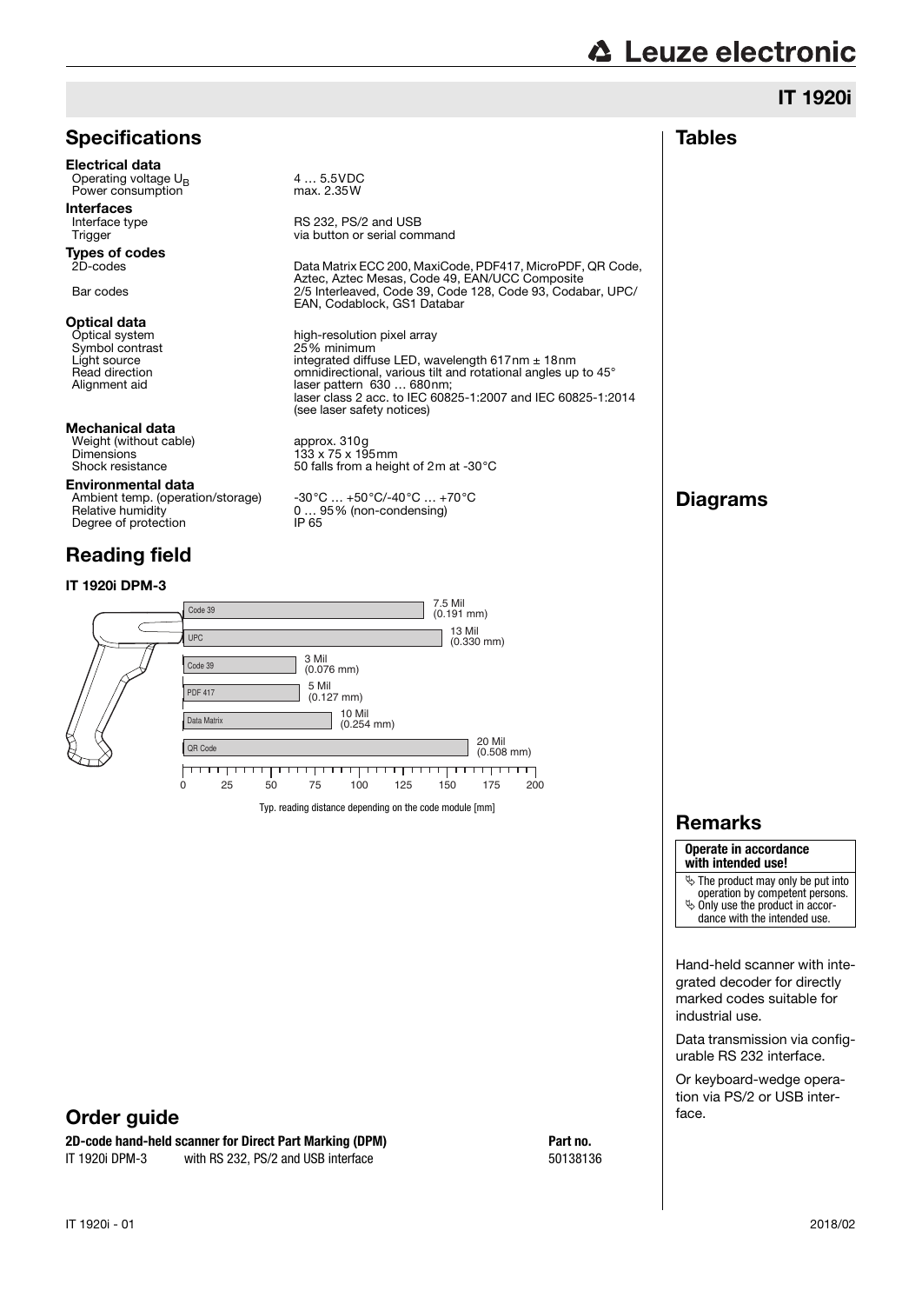|                                                                                                      |                                                                                                                                                                                                                                                                                                 |                                                           | <b>IT 1920i</b>                                                                                                                                                   |
|------------------------------------------------------------------------------------------------------|-------------------------------------------------------------------------------------------------------------------------------------------------------------------------------------------------------------------------------------------------------------------------------------------------|-----------------------------------------------------------|-------------------------------------------------------------------------------------------------------------------------------------------------------------------|
| <b>Specifications</b>                                                                                |                                                                                                                                                                                                                                                                                                 |                                                           | <b>Tables</b>                                                                                                                                                     |
| <b>Electrical data</b><br>Operating voltage U <sub>p</sub><br>Power consumption                      | 45.5VDC<br>max. 2.35W                                                                                                                                                                                                                                                                           |                                                           |                                                                                                                                                                   |
| <b>Interfaces</b><br>Interface type<br>Trigger                                                       | RS 232, PS/2 and USB<br>via button or serial command                                                                                                                                                                                                                                            |                                                           |                                                                                                                                                                   |
| <b>Types of codes</b><br>2D-codes                                                                    | Aztec, Aztec Mesas, Code 49, EAN/UCC Composite                                                                                                                                                                                                                                                  | Data Matrix ECC 200, MaxiCode, PDF417, MicroPDF, QR Code, |                                                                                                                                                                   |
| Bar codes                                                                                            | 2/5 Interleaved, Code 39, Code 128, Code 93, Codabar, UPC/<br>EAN, Codablock, GS1 Databar                                                                                                                                                                                                       |                                                           |                                                                                                                                                                   |
| Optical data<br>Optical system<br>Symbol contrast<br>Light source<br>Read direction<br>Alignment aid | high-resolution pixel array<br>25% minimum<br>integrated diffuse LED, wavelength $617$ nm $\pm$ 18nm<br>omnidirectional, various tilt and rotational angles up to 45°<br>laser pattern 630  680nm;<br>laser class 2 acc. to IEC 60825-1:2007 and IEC 60825-1:2014<br>(see laser safety notices) |                                                           |                                                                                                                                                                   |
| Mechanical data<br>Weight (without cable)<br><b>Dimensions</b><br>Shock resistance                   | approx. 310g<br>$133 \times 75 \times 195$ mm<br>50 falls from a height of 2m at -30°C                                                                                                                                                                                                          |                                                           |                                                                                                                                                                   |
| Environmental data<br>Ambient temp. (operation/storage)<br>Relative humidity<br>Degree of protection | $-30^{\circ}$ C $+50^{\circ}$ C/-40 $^{\circ}$ C $+70^{\circ}$ C<br>$095\%$ (non-condensing)<br>IP 65                                                                                                                                                                                           |                                                           | <b>Diagrams</b>                                                                                                                                                   |
| <b>Reading field</b>                                                                                 |                                                                                                                                                                                                                                                                                                 |                                                           |                                                                                                                                                                   |
| IT 1920i DPM-3                                                                                       | 7.5 Mil                                                                                                                                                                                                                                                                                         |                                                           |                                                                                                                                                                   |
| Code 39                                                                                              | $(0.191$ mm $)$<br>13 Mil                                                                                                                                                                                                                                                                       |                                                           |                                                                                                                                                                   |
| <b>UPC</b>                                                                                           | 3 Mil                                                                                                                                                                                                                                                                                           | $(0.330$ mm $)$                                           |                                                                                                                                                                   |
| Code 39                                                                                              | $(0.076$ mm $)$<br>5 Mil                                                                                                                                                                                                                                                                        |                                                           |                                                                                                                                                                   |
| <b>PDF 417</b>                                                                                       | $(0.127$ mm $)$<br>10 Mil                                                                                                                                                                                                                                                                       |                                                           |                                                                                                                                                                   |
| Data Matrix                                                                                          | $(0.254$ mm $)$                                                                                                                                                                                                                                                                                 | 20 Mil                                                    |                                                                                                                                                                   |
| QR Code<br><del>,,,,,,,,,,,,</del>                                                                   | <del>.</del><br>.                                                                                                                                                                                                                                                                               | $(0.508$ mm $)$<br>┯┯┯┯┯                                  |                                                                                                                                                                   |
| 0<br>25<br>50                                                                                        | 75<br>100<br>125<br>150                                                                                                                                                                                                                                                                         | 200<br>175                                                |                                                                                                                                                                   |
|                                                                                                      | Typ. reading distance depending on the code module [mm]                                                                                                                                                                                                                                         |                                                           | <b>Remarks</b>                                                                                                                                                    |
|                                                                                                      |                                                                                                                                                                                                                                                                                                 |                                                           | Operate in accordance<br>with intended use!                                                                                                                       |
|                                                                                                      |                                                                                                                                                                                                                                                                                                 |                                                           | $\ddot{\phi}$ The product may only be put into<br>operation by competent persons.<br>$\ddot{\phi}$ Only use the product in accor-<br>dance with the intended use. |
|                                                                                                      |                                                                                                                                                                                                                                                                                                 |                                                           | Hand-held scanner with inte-<br>grated decoder for directly<br>marked codes suitable for<br>industrial use.                                                       |
|                                                                                                      |                                                                                                                                                                                                                                                                                                 |                                                           | Data transmission via config-<br>urable RS 232 interface.                                                                                                         |
| Order guide                                                                                          |                                                                                                                                                                                                                                                                                                 |                                                           | Or keyboard-wedge opera-<br>tion via PS/2 or USB inter-<br>face.                                                                                                  |
| 2D-code hand-held scanner for Direct Part Marking (DPM)                                              |                                                                                                                                                                                                                                                                                                 | Part no.                                                  |                                                                                                                                                                   |
| IT 1920i DPM-3<br>with RS 232, PS/2 and USB interface                                                |                                                                                                                                                                                                                                                                                                 | 50138136                                                  |                                                                                                                                                                   |
| IT 1920i - 01                                                                                        |                                                                                                                                                                                                                                                                                                 |                                                           | 2018/02                                                                                                                                                           |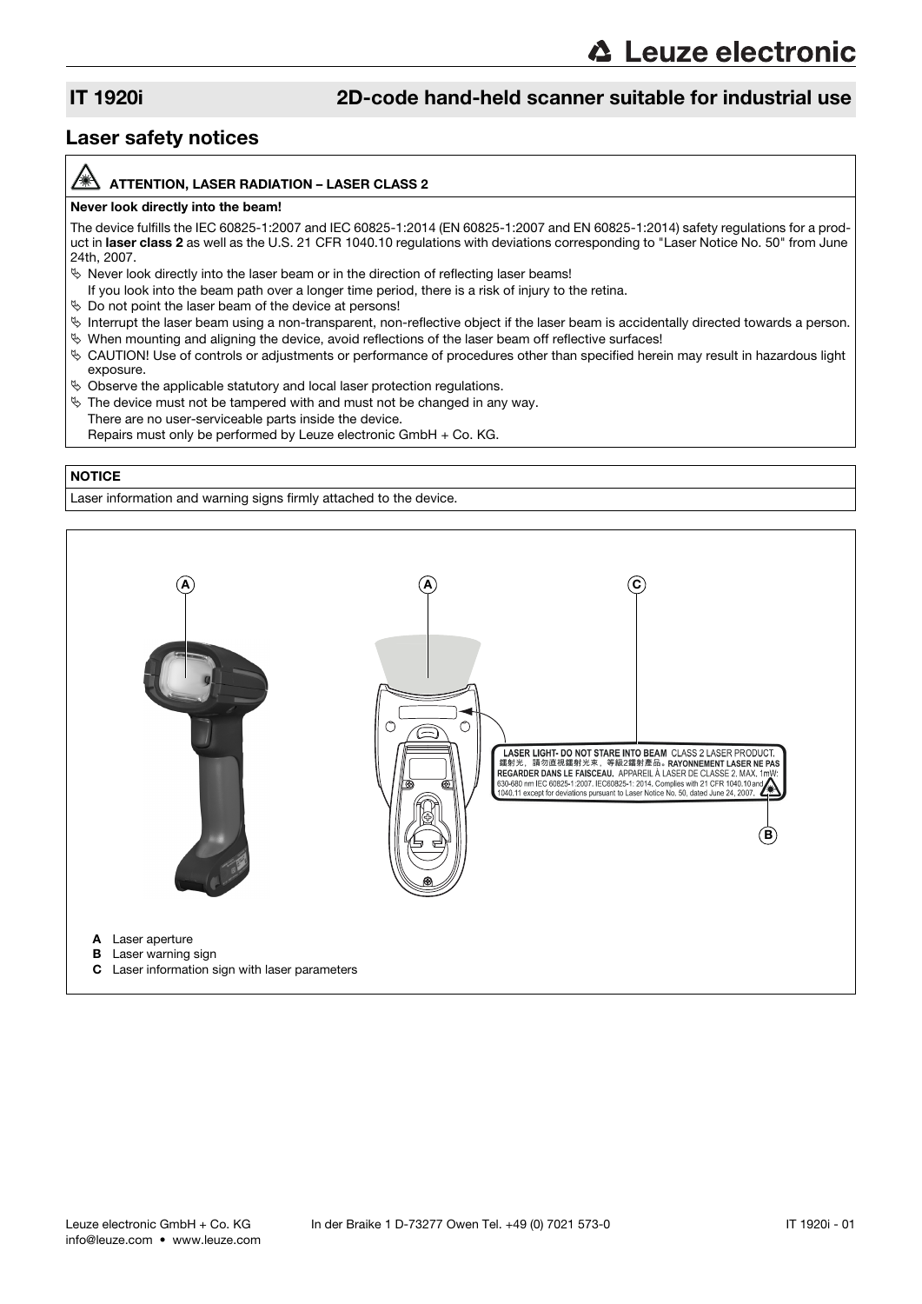## Laser safety notices

### ATTENTION, LASER RADIATION – LASER CLASS 2

### Never look directly into the beam!

The device fulfills the IEC 60825-1:2007 and IEC 60825-1:2014 (EN 60825-1:2007 and EN 60825-1:2014) safety regulations for a product in laser class 2 as well as the U.S. 21 CFR 1040.10 regulations with deviations corresponding to "Laser Notice No. 50" from June 24th, 2007.

- $\%$  Never look directly into the laser beam or in the direction of reflecting laser beams!
- If you look into the beam path over a longer time period, there is a risk of injury to the retina.
- $\%$  Do not point the laser beam of the device at persons!
- $\%$  Interrupt the laser beam using a non-transparent, non-reflective object if the laser beam is accidentally directed towards a person.
- $\%$  When mounting and aligning the device, avoid reflections of the laser beam off reflective surfaces!
- CAUTION! Use of controls or adjustments or performance of procedures other than specified herein may result in hazardous light exposure.
- $\%$  Observe the applicable statutory and local laser protection regulations.
- $\&$  The device must not be tampered with and must not be changed in any way. There are no user-serviceable parts inside the device. Repairs must only be performed by Leuze electronic GmbH + Co. KG.

### **NOTICE**

Laser information and warning signs firmly attached to the device.

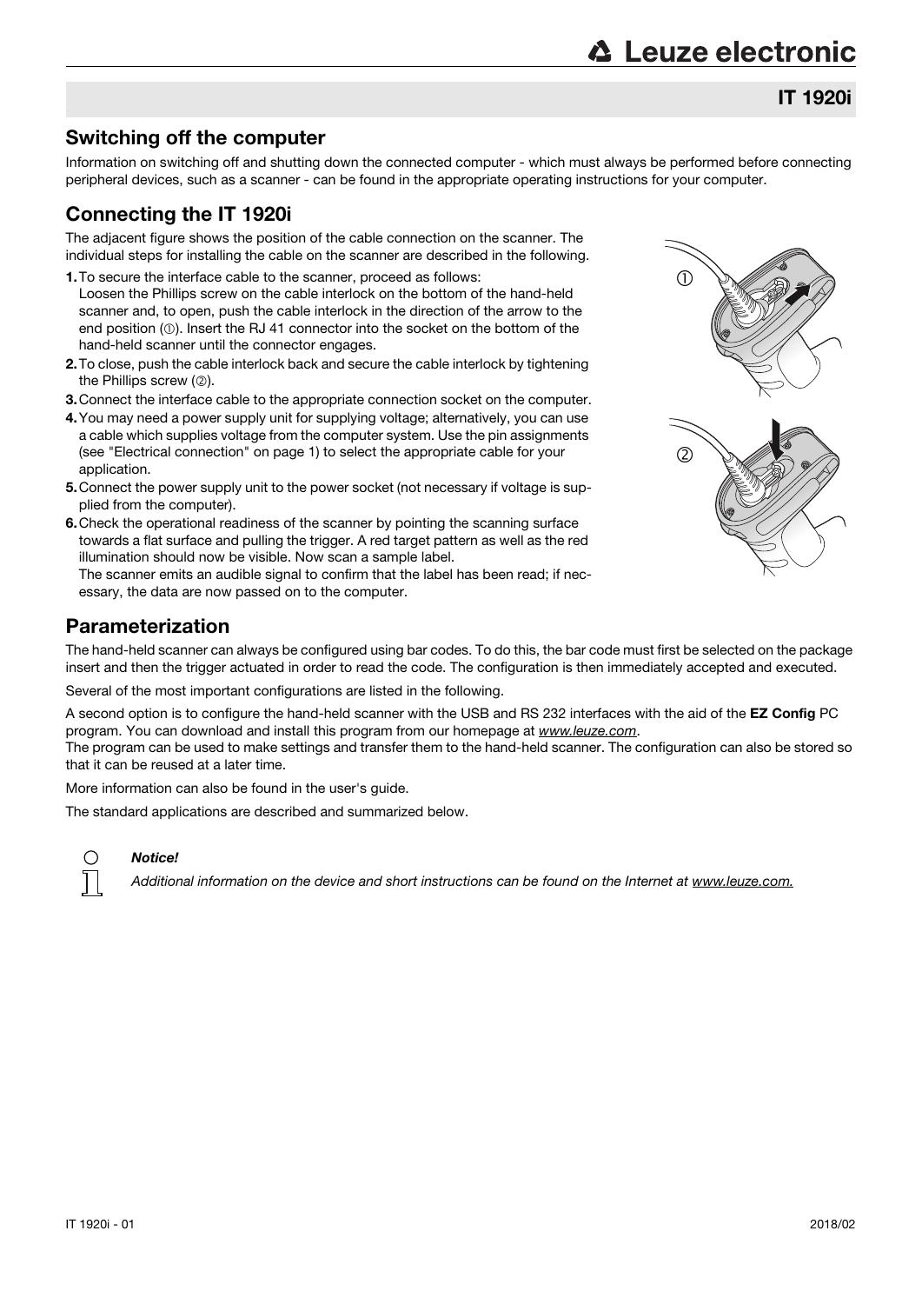# **△ Leuze electronic**

IT 1920i

# Switching off the computer

Information on switching off and shutting down the connected computer - which must always be performed before connecting peripheral devices, such as a scanner - can be found in the appropriate operating instructions for your computer.

# Connecting the IT 1920i

The adjacent figure shows the position of the cable connection on the scanner. The individual steps for installing the cable on the scanner are described in the following.

- 1.To secure the interface cable to the scanner, proceed as follows: Loosen the Phillips screw on the cable interlock on the bottom of the hand-held scanner and, to open, push the cable interlock in the direction of the arrow to the end position  $(\mathbb{O})$ . Insert the RJ 41 connector into the socket on the bottom of the hand-held scanner until the connector engages.
- 2.To close, push the cable interlock back and secure the cable interlock by tightening the Phillips screw  $(2)$ .
- 3.Connect the interface cable to the appropriate connection socket on the computer.
- 4.You may need a power supply unit for supplying voltage; alternatively, you can use a cable which supplies voltage from the computer system. Use the pin assignments (see ["Electrical connection" on page 1](#page-0-0)) to select the appropriate cable for your application.
- 5.Connect the power supply unit to the power socket (not necessary if voltage is supplied from the computer).
- 6. Check the operational readiness of the scanner by pointing the scanning surface towards a flat surface and pulling the trigger. A red target pattern as well as the red illumination should now be visible. Now scan a sample label.

The scanner emits an audible signal to confirm that the label has been read; if necessary, the data are now passed on to the computer.

## Parameterization

The hand-held scanner can always be configured using bar codes. To do this, the bar code must first be selected on the package insert and then the trigger actuated in order to read the code. The configuration is then immediately accepted and executed.

Several of the most important configurations are listed in the following.

A second option is to configure the hand-held scanner with the USB and RS 232 interfaces with the aid of the EZ Config PC program. You can download and install this program from our homepage at www.leuze.com.

The program can be used to make settings and transfer them to the hand-held scanner. The configuration can also be stored so that it can be reused at a later time.

More information can also be found in the user's guide.

The standard applications are described and summarized below.



## Notice!

Additional information on the device and short instructions can be found on the Internet at www.leuze.com.

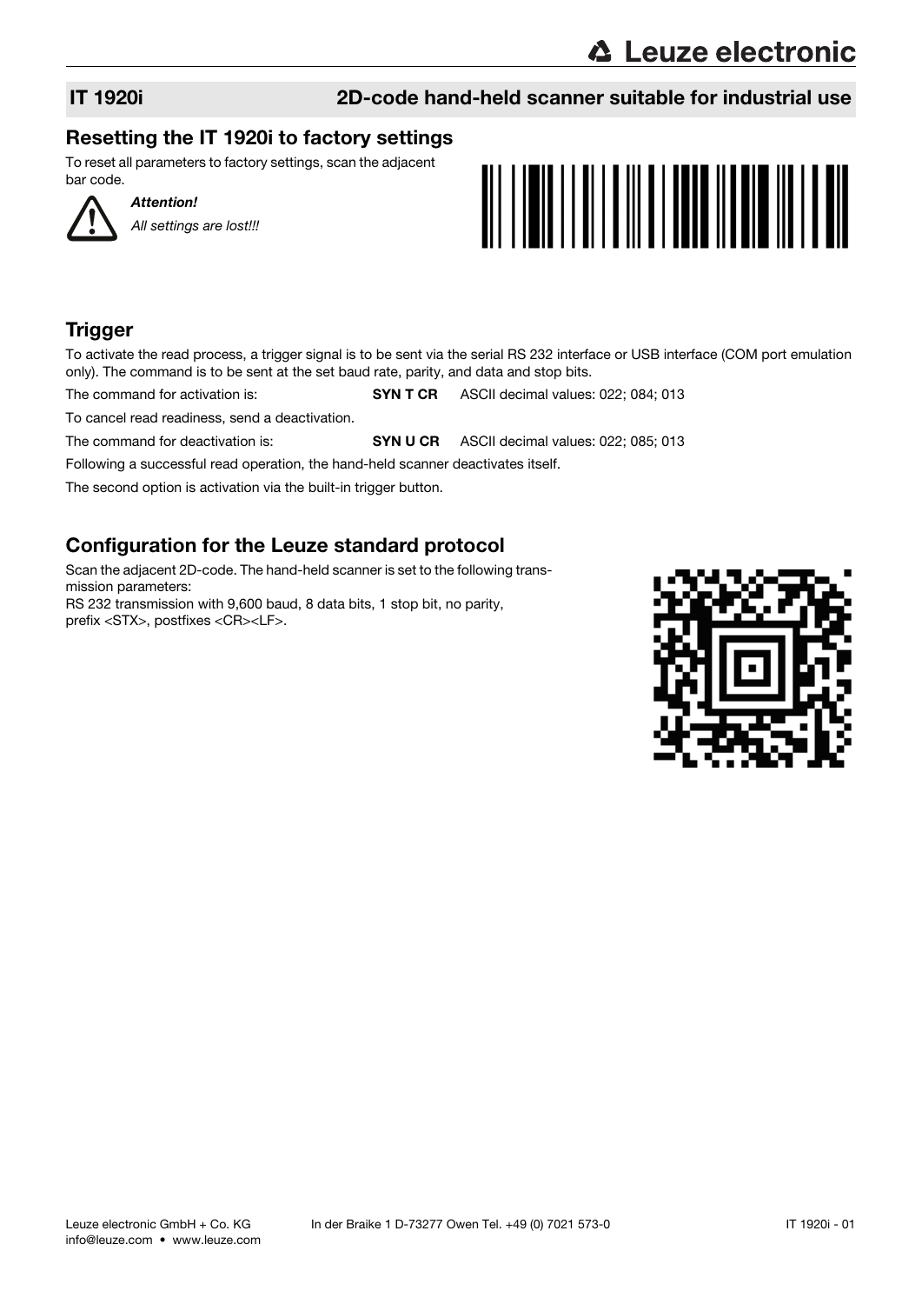# **∆ Leuze electronic**

# IT 1920i 2D-code hand-held scanner suitable for industrial use

# Resetting the IT 1920i to factory settings

To reset all parameters to factory settings, scan the adjacent bar code.



Attention! All settings are lost!!!



# **Trigger**

To activate the read process, a trigger signal is to be sent via the serial RS 232 interface or USB interface (COM port emulation only). The command is to be sent at the set baud rate, parity, and data and stop bits.

The command for activation is: SYN T CR ASCII decimal values: 022; 084; 013

To cancel read readiness, send a deactivation.

The command for deactivation is: SYN U CR ASCII decimal values: 022; 085; 013

Following a successful read operation, the hand-held scanner deactivates itself.

The second option is activation via the built-in trigger button.

# Configuration for the Leuze standard protocol

Scan the adjacent 2D-code. The hand-held scanner is set to the following transmission parameters: RS 232 transmission with 9,600 baud, 8 data bits, 1 stop bit, no parity, prefix <STX>, postfixes <CR><LF>.

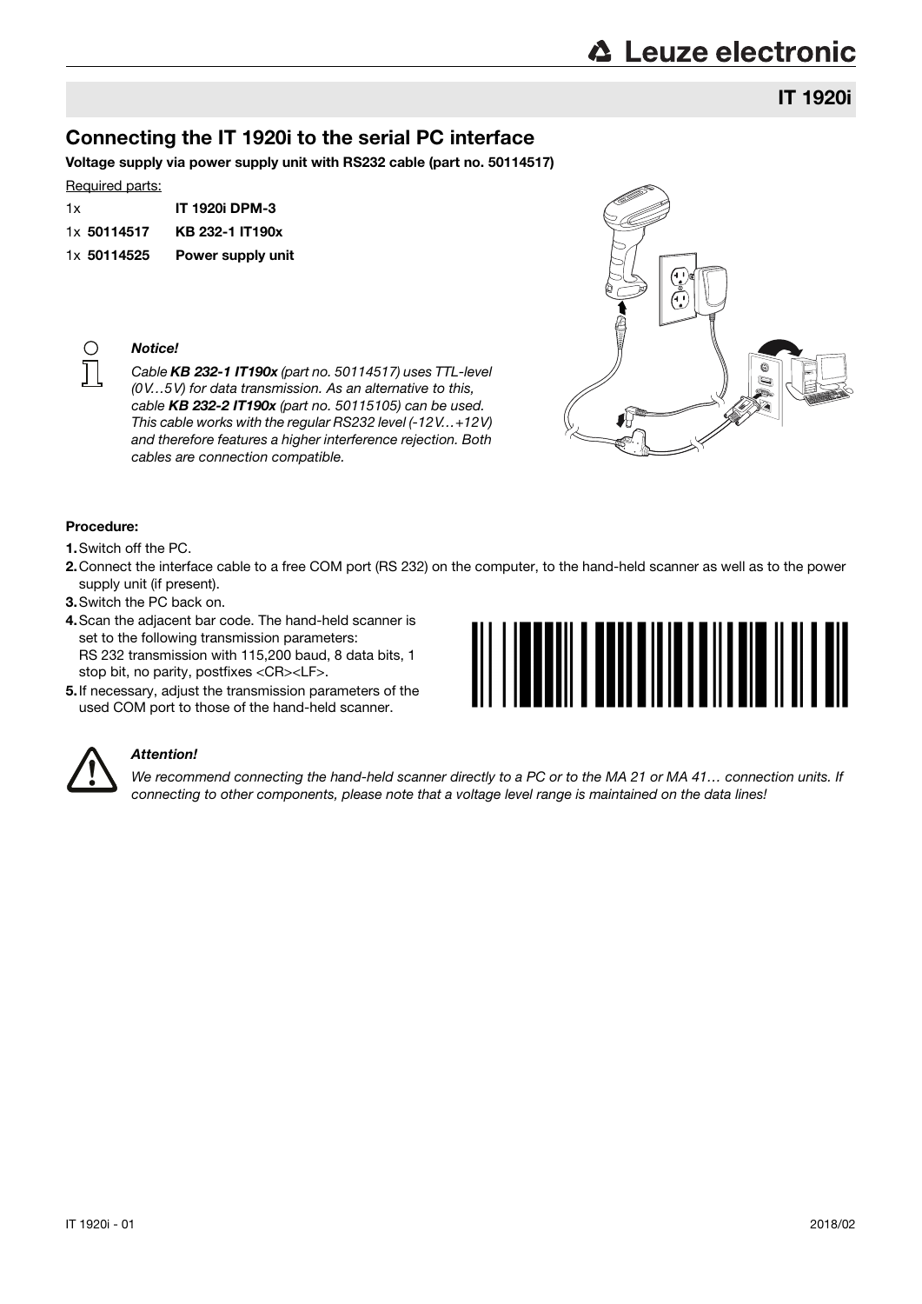# IT 1920i

# Connecting the IT 1920i to the serial PC interface

Voltage supply via power supply unit with RS232 cable (part no. 50114517)

## Required parts:

| 1x          | <b>IT 1920i DPM-3</b>    |
|-------------|--------------------------|
| 1x 50114517 | KB 232-1 IT190x          |
| 1x 50114525 | <b>Power supply unit</b> |



Notice!

Cable KB 232-1 IT190x (part no. 50114517) uses TTL-level (0V…5V) for data transmission. As an alternative to this, cable KB 232-2 IT190x (part no. 50115105) can be used. This cable works with the regular RS232 level (-12V…+12V) and therefore features a higher interference rejection. Both cables are connection compatible.



## Procedure:

- 1.Switch off the PC.
- 2.Connect the interface cable to a free COM port (RS 232) on the computer, to the hand-held scanner as well as to the power supply unit (if present).
- 3.Switch the PC back on.
- 4.Scan the adjacent bar code. The hand-held scanner is set to the following transmission parameters: RS 232 transmission with 115,200 baud, 8 data bits, 1 stop bit, no parity, postfixes <CR><LF>.
- 5.If necessary, adjust the transmission parameters of the used COM port to those of the hand-held scanner.





## Attention!

We recommend connecting the hand-held scanner directly to a PC or to the MA 21 or MA 41... connection units. If connecting to other components, please note that a voltage level range is maintained on the data lines!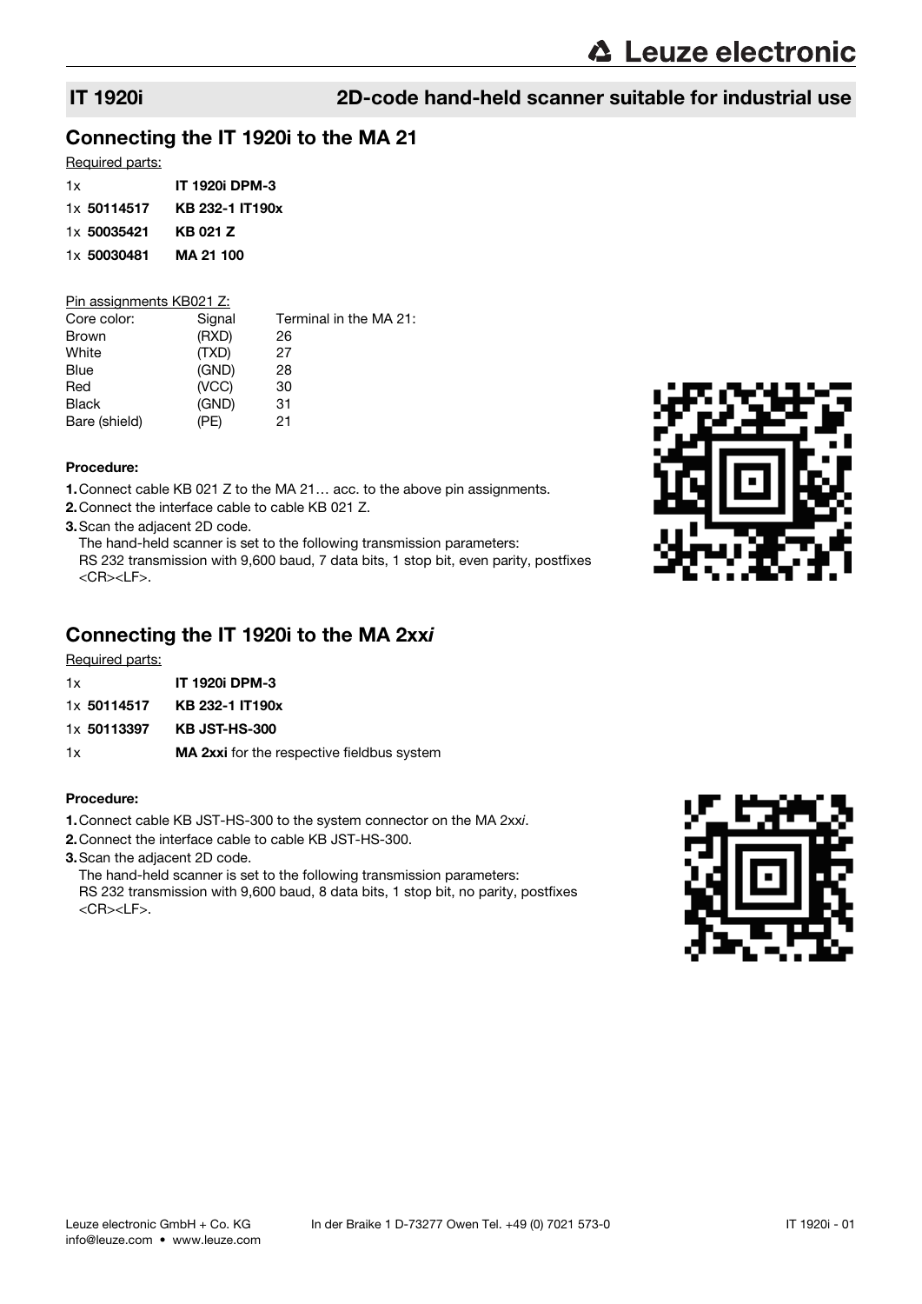# Connecting the IT 1920i to the MA 21

## Required parts:

| 1x          | <b>IT 1920i DPM-3</b> |
|-------------|-----------------------|
| 1x 50114517 | KB 232-1 IT190x       |
| 1x 50035421 | KB 021 Z              |
| 1x 50030481 | MA 21 100             |

## Pin assignments KB021 Z:

| Signal | Terminal in the MA 21: |
|--------|------------------------|
| (RXD)  | 26                     |
| (TXD)  | 27                     |
| (GND)  | 28                     |
| (VCC)  | 30                     |
| (GND)  | 31                     |
| (PE)   | 21                     |
|        |                        |

## Procedure:

1.Connect cable KB 021 Z to the MA 21… acc. to the above pin assignments.

2.Connect the interface cable to cable KB 021 Z.

3.Scan the adjacent 2D code.

The hand-held scanner is set to the following transmission parameters:

RS 232 transmission with 9,600 baud, 7 data bits, 1 stop bit, even parity, postfixes <CR><LF>.

# Connecting the IT 1920i to the MA 2xxi

## Required parts:

| 1x          | IT 1920i DPM-3                                    |
|-------------|---------------------------------------------------|
| 1x 50114517 | KB 232-1 IT190x                                   |
| 1x 50113397 | <b>KB JST-HS-300</b>                              |
| 1x          | <b>MA 2xxi</b> for the respective fieldbus system |

## Procedure:

- 1.Connect cable KB JST-HS-300 to the system connector on the MA 2xxi.
- 2.Connect the interface cable to cable KB JST-HS-300.
- 3.Scan the adjacent 2D code.

The hand-held scanner is set to the following transmission parameters: RS 232 transmission with 9,600 baud, 8 data bits, 1 stop bit, no parity, postfixes <CR><LF>.



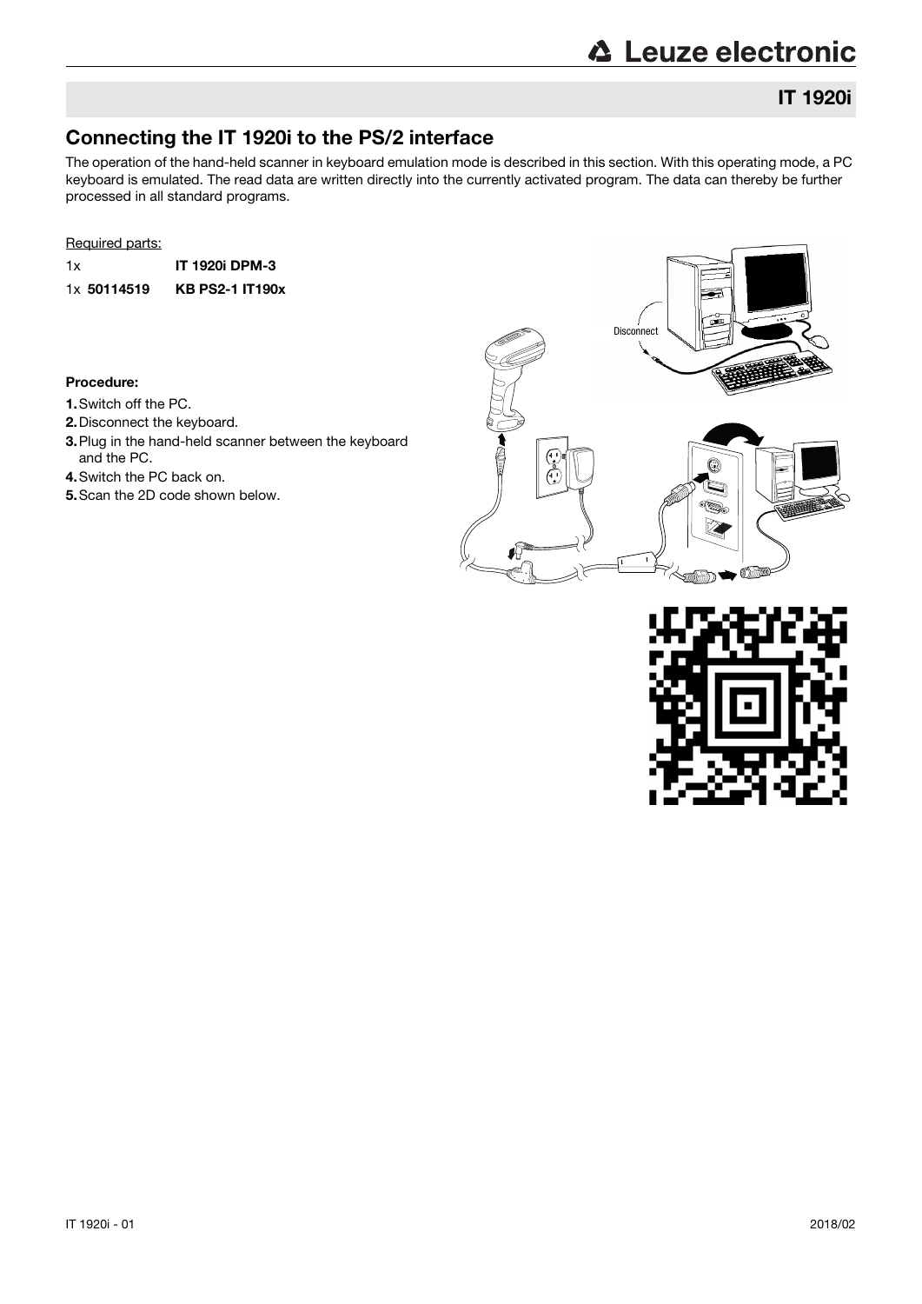# **△ Leuze electronic**

# Connecting the IT 1920i to the PS/2 interface

The operation of the hand-held scanner in keyboard emulation mode is described in this section. With this operating mode, a PC keyboard is emulated. The read data are written directly into the currently activated program. The data can thereby be further processed in all standard programs.

## Required parts:

1x IT 1920i DPM-3 1x 50114519 KB PS2-1 IT190x

## Procedure:

- 1.Switch off the PC.
- 2.Disconnect the keyboard.
- 3.Plug in the hand-held scanner between the keyboard and the PC.
- 4.Switch the PC back on.
- 5.Scan the 2D code shown below.



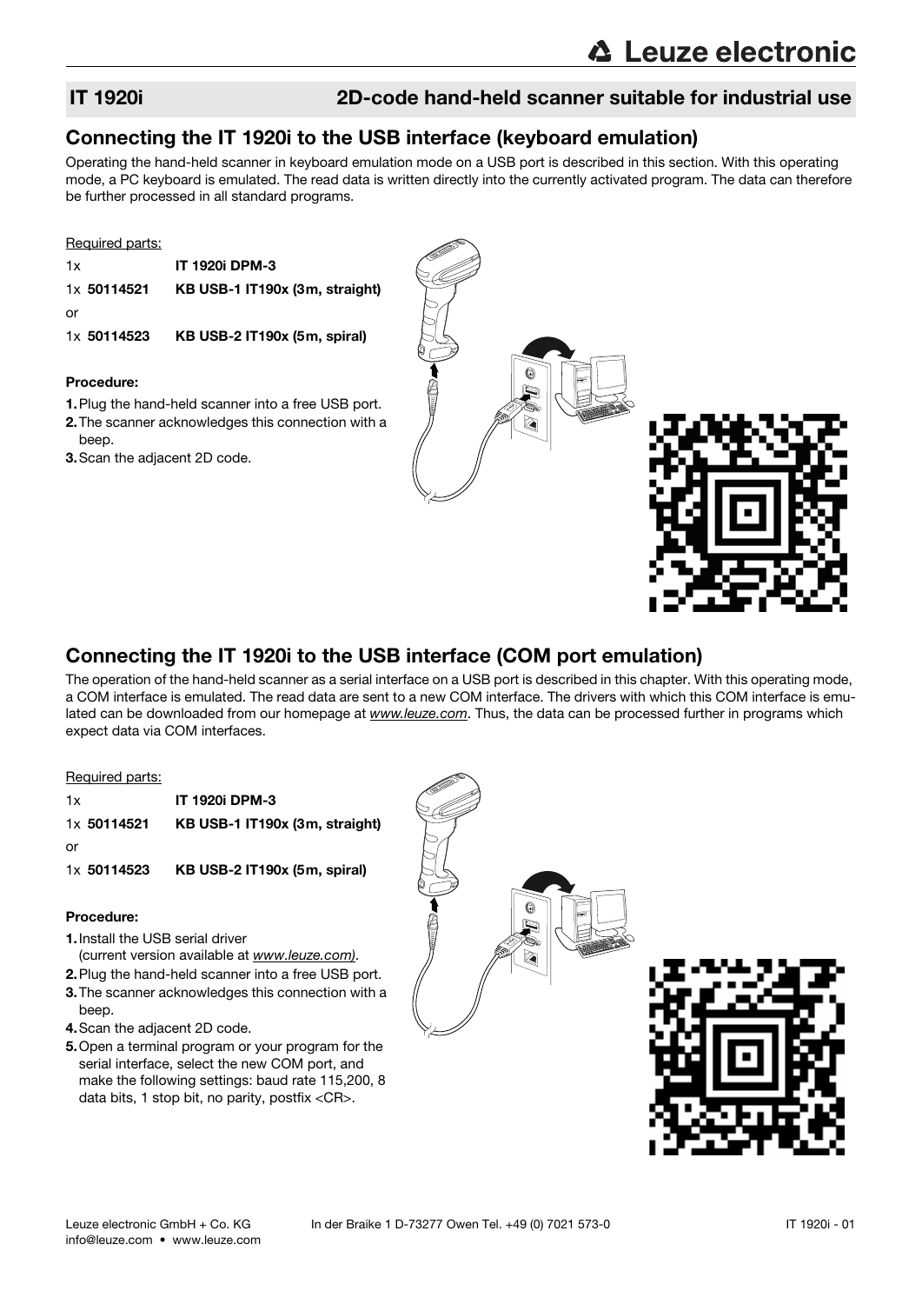## Connecting the IT 1920i to the USB interface (keyboard emulation)

Operating the hand-held scanner in keyboard emulation mode on a USB port is described in this section. With this operating mode, a PC keyboard is emulated. The read data is written directly into the currently activated program. The data can therefore be further processed in all standard programs.

## Required parts:

1x IT 1920i DPM-3 1x 50114521 KB USB-1 IT190x (3m, straight) or 1x 50114523 KB USB-2 IT190x (5m, spiral)

## Procedure:

- 1.Plug the hand-held scanner into a free USB port. 2.The scanner acknowledges this connection with a beep.
- 3.Scan the adjacent 2D code.



# Connecting the IT 1920i to the USB interface (COM port emulation)

The operation of the hand-held scanner as a serial interface on a USB port is described in this chapter. With this operating mode, a COM interface is emulated. The read data are sent to a new COM interface. The drivers with which this COM interface is emulated can be downloaded from our homepage at www.leuze.com. Thus, the data can be processed further in programs which expect data via COM interfaces.

## Required parts:

| 1x          | <b>IT 1920i DPM-3</b>          |
|-------------|--------------------------------|
| 1x 50114521 | KB USB-1 IT190x (3m, straight) |
| or          |                                |
| 1x 50114523 | KB USB-2 IT190x (5m, spiral)   |

## Procedure:

- 1.Install the USB serial driver
	- (current version available at [www.leuze.com\)](http://www.leuze.com).
- 2.Plug the hand-held scanner into a free USB port. 3.The scanner acknowledges this connection with a
- beep.
- 4.Scan the adjacent 2D code.
- 5.Open a terminal program or your program for the serial interface, select the new COM port, and make the following settings: baud rate 115,200, 8 data bits, 1 stop bit, no parity, postfix <CR>.



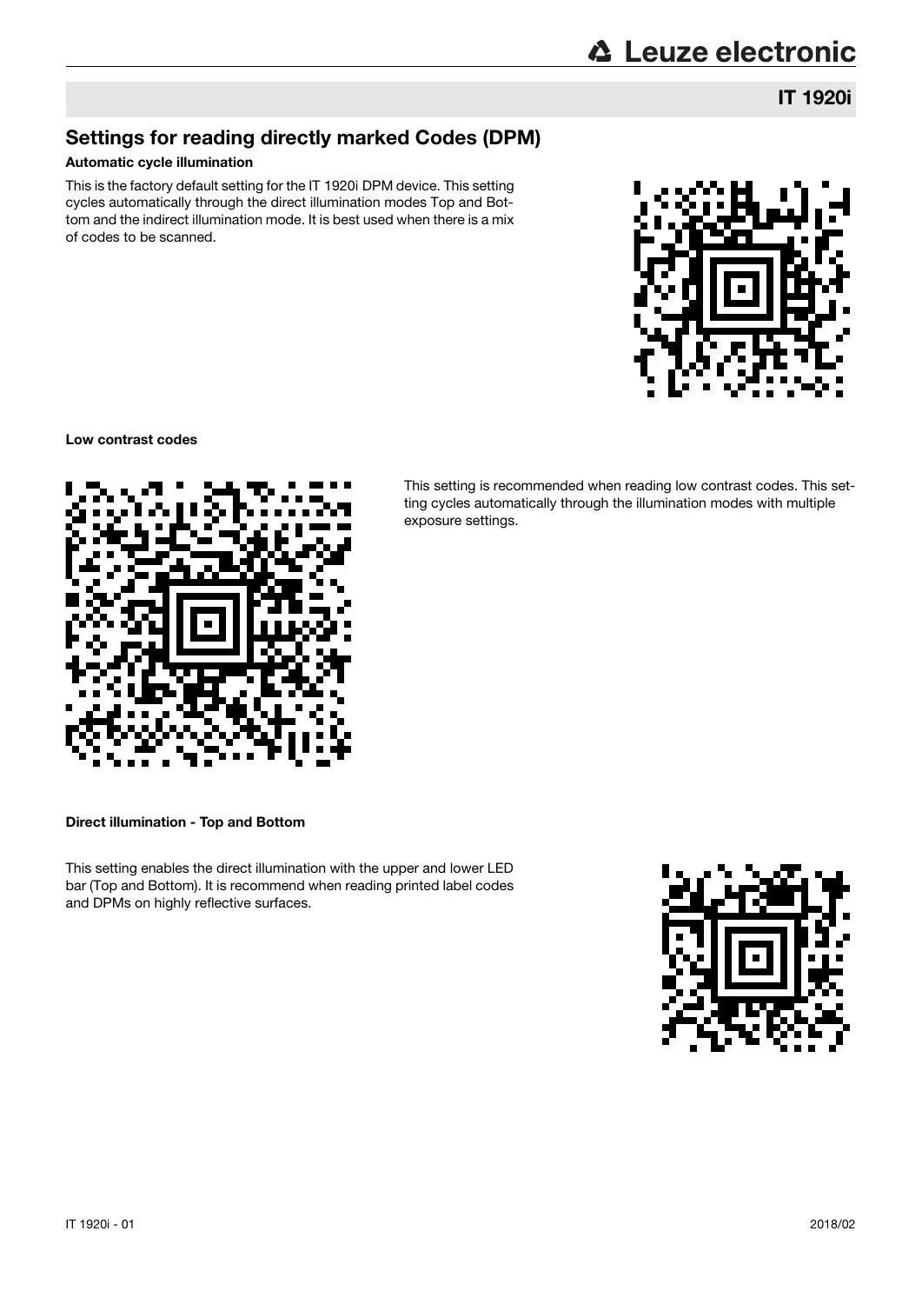IT 1920i

# Settings for reading directly marked Codes (DPM)

## Automatic cycle illumination

This is the factory default setting for the IT 1920i DPM device. This setting cycles automatically through the direct illumination modes Top and Bottom and the indirect illumination mode. It is best used when there is a mix of codes to be scanned.



## Low contrast codes



This setting is recommended when reading low contrast codes. This setting cycles automatically through the illumination modes with multiple exposure settings.

Direct illumination - Top and Bottom

This setting enables the direct illumination with the upper and lower LED bar (Top and Bottom). It is recommend when reading printed label codes and DPMs on highly reflective surfaces.

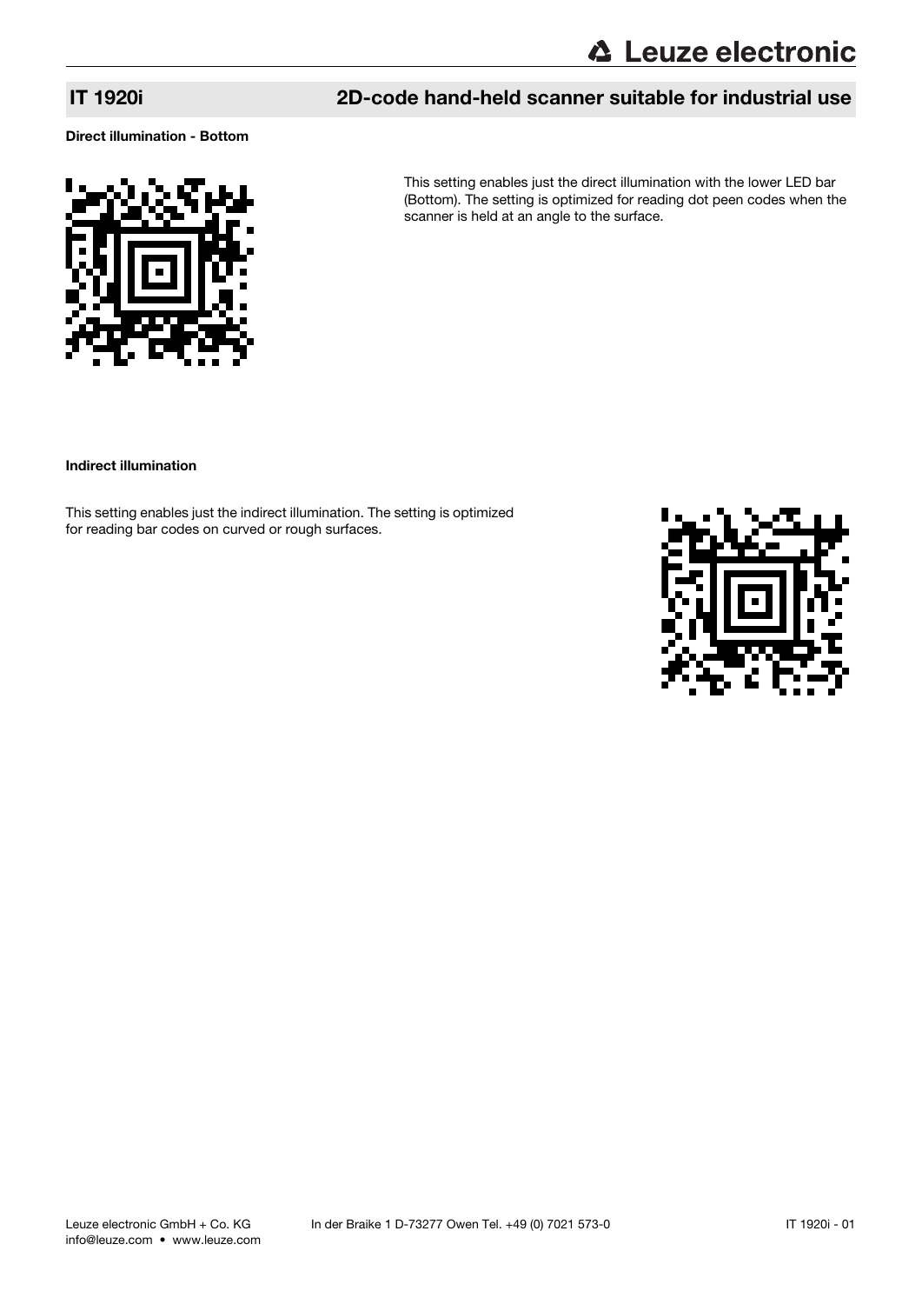Direct illumination - Bottom



This setting enables just the direct illumination with the lower LED bar (Bottom). The setting is optimized for reading dot peen codes when the scanner is held at an angle to the surface.

Indirect illumination

This setting enables just the indirect illumination. The setting is optimized for reading bar codes on curved or rough surfaces.